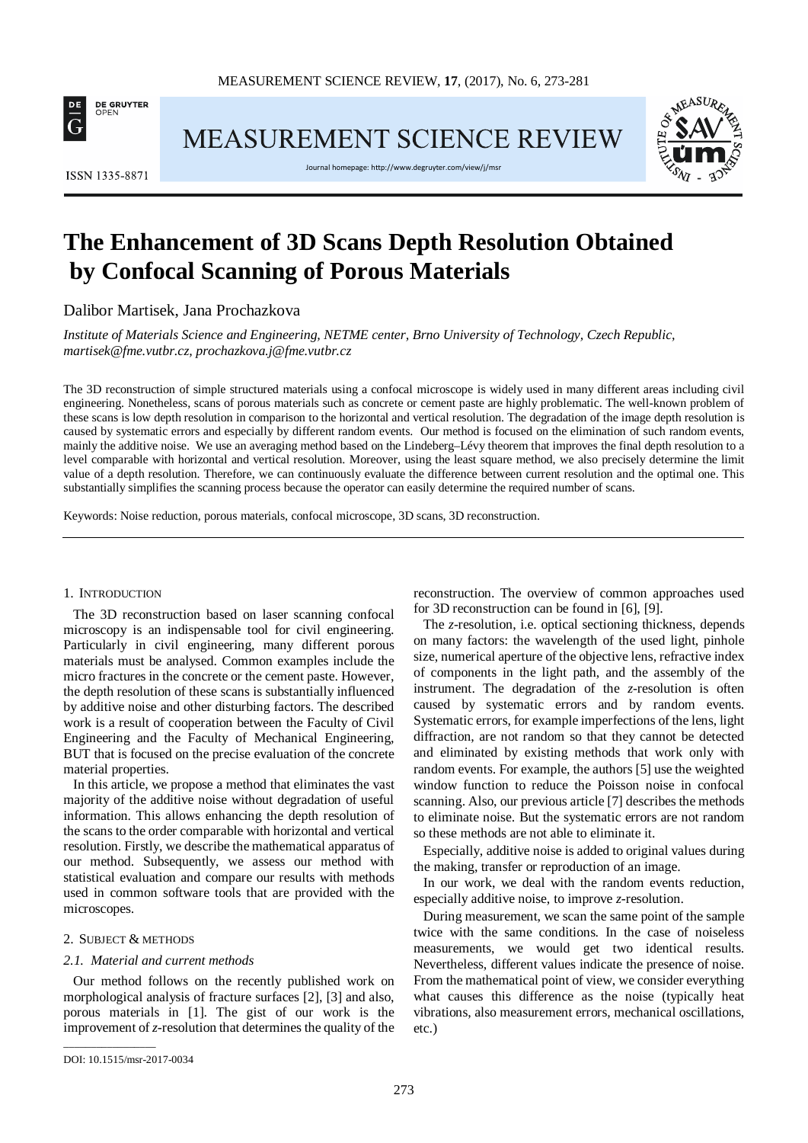

MEASUREMENT SCIENCE REVIEW



**ISSN 1335-8871** 

Journal homepage[: http://www.degruyter.com/view/j/msr](http://www.degruyter.com/view/j/msr)

# **The Enhancement of 3D Scans Depth Resolution Obtained by Confocal Scanning of Porous Materials**

Dalibor Martisek, Jana Prochazkova

*Institute of Materials Science and Engineering, NETME center, Brno University of Technology, Czech Republic, [martisek@fme.vutbr.cz,](mailto:martisek@fme.vutbr.cz) prochazkova.j@fme.vutbr.cz*

The 3D reconstruction of simple structured materials using a confocal microscope is widely used in many different areas including civil engineering. Nonetheless, scans of porous materials such as concrete or cement paste are highly problematic. The well-known problem of these scans is low depth resolution in comparison to the horizontal and vertical resolution. The degradation of the image depth resolution is caused by systematic errors and especially by different random events. Our method is focused on the elimination of such random events, mainly the additive noise. We use an averaging method based on the Lindeberg–Lévy theorem that improves the final depth resolution to a level comparable with horizontal and vertical resolution. Moreover, using the least square method, we also precisely determine the limit value of a depth resolution. Therefore, we can continuously evaluate the difference between current resolution and the optimal one. This substantially simplifies the scanning process because the operator can easily determine the required number of scans.

Keywords: Noise reduction, porous materials, confocal microscope, 3D scans, 3D reconstruction.

#### 1. INTRODUCTION

The 3D reconstruction based on laser scanning confocal microscopy is an indispensable tool for civil engineering. Particularly in civil engineering, many different porous materials must be analysed. Common examples include the micro fractures in the concrete or the cement paste. However, the depth resolution of these scans is substantially influenced by additive noise and other disturbing factors. The described work is a result of cooperation between the Faculty of Civil Engineering and the Faculty of Mechanical Engineering, BUT that is focused on the precise evaluation of the concrete material properties.

In this article, we propose a method that eliminates the vast majority of the additive noise without degradation of useful information. This allows enhancing the depth resolution of the scans to the order comparable with horizontal and vertical resolution. Firstly, we describe the mathematical apparatus of our method. Subsequently, we assess our method with statistical evaluation and compare our results with methods used in common software tools that are provided with the microscopes.

#### 2. SUBJECT & METHODS

#### *2.1. Material and current methods*

Our method follows on the recently published work on morphological analysis of fracture surfaces [2], [3] and also, porous materials in [1]. The gist of our work is the improvement of *z*-resolution that determines the quality of the reconstruction. The overview of common approaches used for 3D reconstruction can be found in [6], [9].

The *z*-resolution, i.e. optical sectioning thickness, depends on many factors: the wavelength of the used light, pinhole size, numerical aperture of the objective lens, refractive index of components in the light path, and the assembly of the instrument. The degradation of the *z*-resolution is often caused by systematic errors and by random events. Systematic errors, for example imperfections of the lens, light diffraction, are not random so that they cannot be detected and eliminated by existing methods that work only with random events. For example, the authors [5] use the weighted window function to reduce the Poisson noise in confocal scanning. Also, our previous article [7] describes the methods to eliminate noise. But the systematic errors are not random so these methods are not able to eliminate it.

Especially, additive noise is added to original values during the making, transfer or reproduction of an image.

In our work, we deal with the random events reduction, especially additive noise, to improve *z*-resolution.

During measurement, we scan the same point of the sample twice with the same conditions. In the case of noiseless measurements, we would get two identical results. Nevertheless, different values indicate the presence of noise. From the mathematical point of view, we consider everything what causes this difference as the noise (typically heat vibrations, also measurement errors, mechanical oscillations, etc.)

\_\_\_\_\_\_\_\_\_\_\_\_\_\_\_\_\_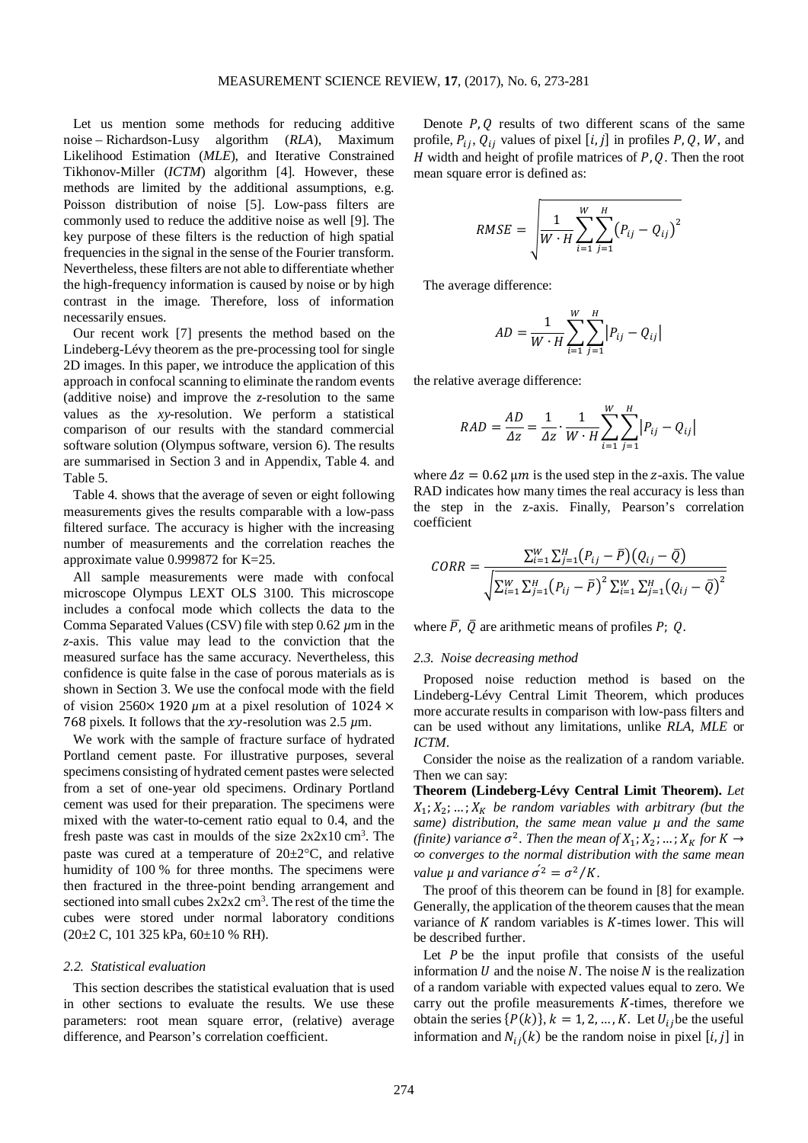Let us mention some methods for reducing additive noise – Richardson-Lusy algorithm (*RLA*), Maximum Likelihood Estimation (*MLE*), and Iterative Constrained Tikhonov-Miller (*ICTM*) algorithm [4]. However, these methods are limited by the additional assumptions, e.g. Poisson distribution of noise [5]. Low-pass filters are commonly used to reduce the additive noise as well [9]. The key purpose of these filters is the reduction of high spatial frequencies in the signal in the sense of the Fourier transform. Nevertheless, these filters are not able to differentiate whether the high-frequency information is caused by noise or by high contrast in the image. Therefore, loss of information necessarily ensues.

Our recent work [7] presents the method based on the Lindeberg-Lévy theorem as the pre-processing tool for single 2D images. In this paper, we introduce the application of this approach in confocal scanning to eliminate the random events (additive noise) and improve the *z*-resolution to the same values as the *xy*-resolution. We perform a statistical comparison of our results with the standard commercial software solution (Olympus software, version 6). The results are summarised in Section 3 and in Appendix, Table 4. and Table 5.

Table 4. shows that the average of seven or eight following measurements gives the results comparable with a low-pass filtered surface. The accuracy is higher with the increasing number of measurements and the correlation reaches the approximate value 0.999872 for K=25.

All sample measurements were made with confocal microscope Olympus LEXT OLS 3100. This microscope includes a confocal mode which collects the data to the Comma Separated Values (CSV) file with step 0*.*62 *µ*m in the *z*-axis. This value may lead to the conviction that the measured surface has the same accuracy. Nevertheless, this confidence is quite false in the case of porous materials as is shown in Section 3. We use the confocal mode with the field of vision  $2560 \times 1920 \mu m$  at a pixel resolution of  $1024 \times$ 768 pixels. It follows that the  $xy$ -resolution was 2.5  $\mu$ m.

We work with the sample of fracture surface of hydrated Portland cement paste. For illustrative purposes, several specimens consisting of hydrated cement pastes were selected from a set of one-year old specimens. Ordinary Portland cement was used for their preparation. The specimens were mixed with the water-to-cement ratio equal to 0.4, and the fresh paste was cast in moulds of the size  $2x2x10 \text{ cm}^3$ . The paste was cured at a temperature of  $20 \pm 2^{\circ}C$ , and relative humidity of 100 % for three months. The specimens were then fractured in the three-point bending arrangement and sectioned into small cubes  $2x2x2$  cm<sup>3</sup>. The rest of the time the cubes were stored under normal laboratory conditions (20±2 C, 101 325 kPa, 60±10 % RH).

#### *2.2. Statistical evaluation*

This section describes the statistical evaluation that is used in other sections to evaluate the results. We use these parameters: root mean square error, (relative) average difference, and Pearson's correlation coefficient.

Denote  $P$ ,  $Q$  results of two different scans of the same profile,  $P_{ij}$ ,  $Q_{ij}$  values of pixel [i, j] in profiles P, Q, W, and H width and height of profile matrices of  $P$ ,  $Q$ . Then the root mean square error is defined as:

$$
RMSE = \sqrt{\frac{1}{W \cdot H} \sum_{i=1}^{W} \sum_{j=1}^{H} (P_{ij} - Q_{ij})^2}
$$

The average difference:

$$
AD = \frac{1}{W \cdot H} \sum_{i=1}^{W} \sum_{j=1}^{H} |P_{ij} - Q_{ij}|
$$

the relative average difference:

$$
RAD = \frac{AD}{\Delta z} = \frac{1}{\Delta z} \cdot \frac{1}{W \cdot H} \sum_{i=1}^{W} \sum_{j=1}^{H} |P_{ij} - Q_{ij}|
$$

where  $\Delta z = 0.62 \mu m$  is the used step in the z-axis. The value RAD indicates how many times the real accuracy is less than the step in the z-axis. Finally, Pearson's correlation coefficient

$$
CORR = \frac{\sum_{i=1}^{W} \sum_{j=1}^{H} (P_{ij} - \bar{P})(Q_{ij} - \bar{Q})}{\sqrt{\sum_{i=1}^{W} \sum_{j=1}^{H} (P_{ij} - \bar{P})^{2} \sum_{i=1}^{W} \sum_{j=1}^{H} (Q_{ij} - \bar{Q})^{2}}}
$$

where  $\overline{P}$ ,  $\overline{Q}$  are arithmetic means of profiles P; Q.

#### *2.3. Noise decreasing method*

Proposed noise reduction method is based on the Lindeberg-Lévy Central Limit Theorem, which produces more accurate results in comparison with low-pass filters and can be used without any limitations, unlike *RLA*, *MLE* or *ICTM*.

Consider the noise as the realization of a random variable. Then we can say:

**Theorem (Lindeberg-Lévy Central Limit Theorem).** *Let*   $X_1; X_2; \ldots; X_k$  be random variables with arbitrary (but the *same) distribution, the same mean value µ and the same (finite) variance*  $\sigma^2$ . Then the mean of  $X_1; X_2; ...; X_K$  for  $K \rightarrow$ ∞ *converges to the normal distribution with the same mean value u and variance*  $\sigma^2 = \sigma^2/K$ .

The proof of this theorem can be found in [8] for example. Generally, the application of the theorem causes that the mean variance of  $K$  random variables is  $K$ -times lower. This will be described further.

Let  $P$  be the input profile that consists of the useful information  $U$  and the noise  $N$ . The noise  $N$  is the realization of a random variable with expected values equal to zero. We carry out the profile measurements  $K$ -times, therefore we obtain the series  $\{P(k)\}\$ ,  $k = 1, 2, ..., K$ . Let  $U_{i,j}$  be the useful information and  $N_{ii}(k)$  be the random noise in pixel [i, j] in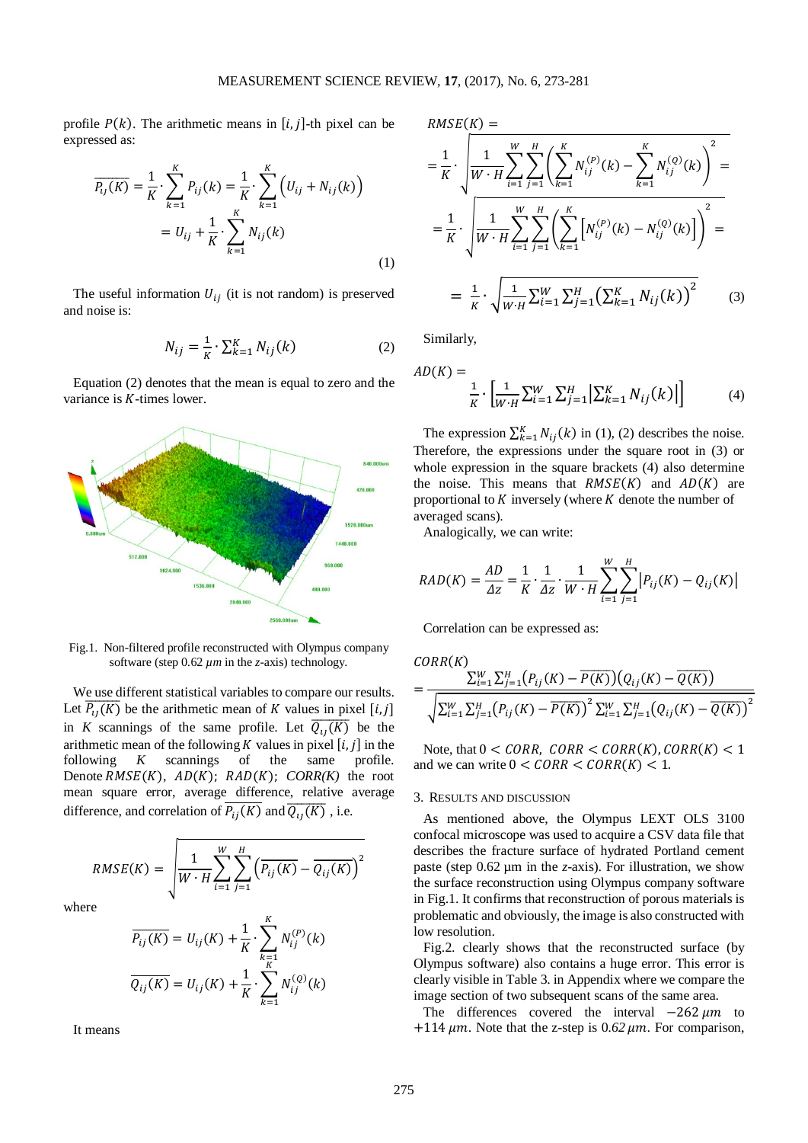profile  $P(k)$ . The arithmetic means in [i, j]-th pixel can be expressed as:

$$
\overline{P_{ij}(K)} = \frac{1}{K} \cdot \sum_{k=1}^{K} P_{ij}(k) = \frac{1}{K} \cdot \sum_{k=1}^{K} \left( U_{ij} + N_{ij}(k) \right)
$$

$$
= U_{ij} + \frac{1}{K} \cdot \sum_{k=1}^{K} N_{ij}(k)
$$
(1)

The useful information  $U_{ij}$  (it is not random) is preserved and noise is:

$$
N_{ij} = \frac{1}{K} \cdot \sum_{k=1}^{K} N_{ij}(k)
$$
 (2)

Equation (2) denotes that the mean is equal to zero and the variance is  $K$ -times lower.



Fig.1. Non-filtered profile reconstructed with Olympus company software (step 0*.*62 *µm* in the *z*-axis) technology.

We use different statistical variables to compare our results. Let  $\overline{P_{U}(K)}$  be the arithmetic mean of K values in pixel [i,j] in *K* scannings of the same profile. Let  $\overline{Q_{U}(K)}$  be the arithmetic mean of the following  $K$  values in pixel  $[i, j]$  in the following  $K$  scannings of the same profile. following  $K$  scannings of the same Denote  $RMSE(K)$ ,  $AD(K)$ ;  $RAD(K)$ ;  $CORR(K)$  the root mean square error, average difference, relative average difference, and correlation of  $P_{ij}(K)$  and  $\overline{Q_{ij}(K)}$ , i.e.

$$
RMSE(K) = \sqrt{\frac{1}{W \cdot H} \sum_{i=1}^{W} \sum_{j=1}^{H} \left( \overline{P_{ij}(K)} - \overline{Q_{ij}(K)} \right)^2}
$$

where

$$
\overline{P_{ij}(K)} = U_{ij}(K) + \frac{1}{K} \cdot \sum_{\substack{k=1 \ k \ J_K}}^{K} N_{ij}^{(P)}(k)
$$

$$
\overline{Q_{ij}(K)} = U_{ij}(K) + \frac{1}{K} \cdot \sum_{k=1}^{K} N_{ij}^{(Q)}(k)
$$

It means

$$
RMSE(K) =
$$
\n
$$
= \frac{1}{K} \cdot \sqrt{\frac{1}{W \cdot H} \sum_{i=1}^{W} \sum_{j=1}^{H} \left( \sum_{k=1}^{K} N_{ij}^{(P)}(k) - \sum_{k=1}^{K} N_{ij}^{(Q)}(k) \right)^{2}} =
$$
\n
$$
= \frac{1}{K} \cdot \sqrt{\frac{1}{W \cdot H} \sum_{i=1}^{W} \sum_{j=1}^{H} \left( \sum_{k=1}^{K} \left[ N_{ij}^{(P)}(k) - N_{ij}^{(Q)}(k) \right] \right)^{2}} =
$$
\n
$$
= \frac{1}{K} \cdot \sqrt{\frac{1}{W \cdot H} \sum_{i=1}^{W} \sum_{j=1}^{H} \left( \sum_{k=1}^{K} N_{ij}(k) \right)^{2}} \qquad (3)
$$

Similarly,

$$
AD(K) = \frac{1}{K} \cdot \left[ \frac{1}{W \cdot H} \sum_{i=1}^{W} \sum_{j=1}^{H} \left| \sum_{k=1}^{K} N_{ij}(k) \right| \right]
$$
(4)

The expression  $\sum_{k=1}^{K} N_{ij}(k)$  in (1), (2) describes the noise. Therefore, the expressions under the square root in (3) or whole expression in the square brackets (4) also determine the noise. This means that  $RMSE(K)$  and  $AD(K)$  are proportional to  $K$  inversely (where  $K$  denote the number of averaged scans).

Analogically, we can write:

$$
RAD(K) = \frac{AD}{\Delta z} = \frac{1}{K} \cdot \frac{1}{\Delta z} \cdot \frac{1}{W \cdot H} \sum_{i=1}^{W} \sum_{j=1}^{H} |P_{ij}(K) - Q_{ij}(K)|
$$

Correlation can be expressed as:

$$
CORR(K)
$$
  
= 
$$
\frac{\sum_{i=1}^{W} \sum_{j=1}^{H} (P_{ij}(K) - \overline{P(K)}) (Q_{ij}(K) - \overline{Q(K)})}{\sqrt{\sum_{i=1}^{W} \sum_{j=1}^{H} (P_{ij}(K) - \overline{P(K)})^{2} \sum_{i=1}^{W} \sum_{j=1}^{H} (Q_{ij}(K) - \overline{Q(K)})^{2}}}
$$

Note, that  $0 < \text{CORR}$ ,  $\text{CORR} < \text{CORR}(K)$ ,  $\text{CORR}(K) < 1$ and we can write  $0 < \text{CORR} < \text{CORR}(K) < 1$ .

#### 3. RESULTS AND DISCUSSION

As mentioned above, the Olympus LEXT OLS 3100 confocal microscope was used to acquire a CSV data file that describes the fracture surface of hydrated Portland cement paste (step 0.62 µm in the *z*-axis). For illustration, we show the surface reconstruction using Olympus company software in Fig.1. It confirms that reconstruction of porous materials is problematic and obviously, the image is also constructed with low resolution.

Fig.2. clearly shows that the reconstructed surface (by Olympus software) also contains a huge error. This error is clearly visible in Table 3. in Appendix where we compare the image section of two subsequent scans of the same area.

The differences covered the interval  $-262 \mu m$  to  $+114 \mu m$ . Note that the z-step is  $0.62 \mu m$ . For comparison,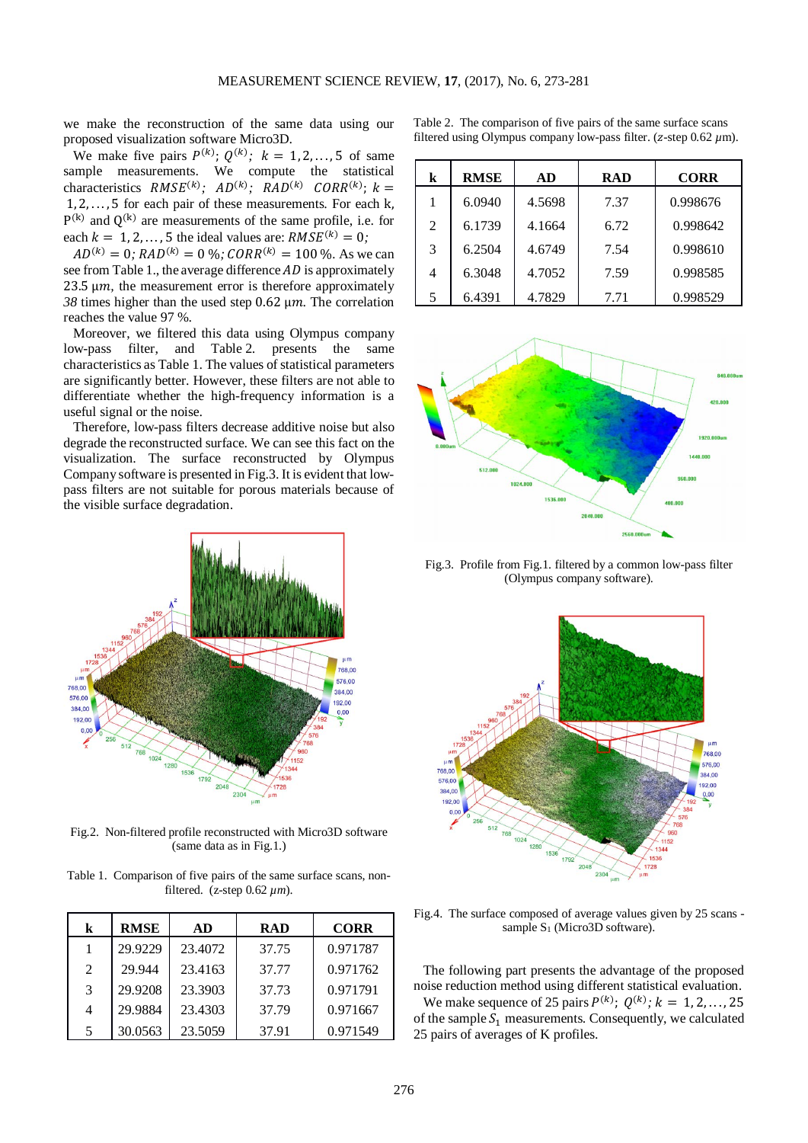we make the reconstruction of the same data using our proposed visualization software Micro3D.

We make five pairs  $P^{(k)}$ ;  $Q^{(k)}$ ;  $k = 1, 2, ..., 5$  of same sample measurements. We compute the statistical characteristics  $RMSE^{(k)}$ ;  $AD^{(k)}$ ;  $RAD^{(k)}$   $CORR^{(k)}$ ;  $k =$  $1, 2, \ldots, 5$  for each pair of these measurements. For each k,  $P^{(k)}$  and  $Q^{(k)}$  are measurements of the same profile, i.e. for each  $k = 1, 2, \ldots, 5$  the ideal values are:  $RMSE^{(k)} = 0$ ;

 $AD^{(k)} = 0$ ;  $RAD^{(k)} = 0$  %;  $CORR^{(k)} = 100$  %. As we can see from Table 1., the average difference  $AD$  is approximately 23.5  $\mu$ *m*, the measurement error is therefore approximately  $38$  times higher than the used step  $0.62 \mu m$ . The correlation reaches the value 97 %.

Moreover, we filtered this data using Olympus company low-pass filter, and Table 2. presents the same characteristics as Table 1. The values of statistical parameters are significantly better. However, these filters are not able to differentiate whether the high-frequency information is a useful signal or the noise.

Therefore, low-pass filters decrease additive noise but also degrade the reconstructed surface. We can see this fact on the visualization. The surface reconstructed by Olympus Company software is presented in Fig.3. It is evident that lowpass filters are not suitable for porous materials because of the visible surface degradation.



Fig.2. Non-filtered profile reconstructed with Micro3D software (same data as in Fig.1.)

Table 1. Comparison of five pairs of the same surface scans, nonfiltered. (z-step  $0.62 \mu m$ ).

| k | <b>RMSE</b> | AD      | <b>RAD</b> | <b>CORR</b> |
|---|-------------|---------|------------|-------------|
|   | 29.9229     | 23.4072 | 37.75      | 0.971787    |
| 2 | 29.944      | 23.4163 | 37.77      | 0.971762    |
| 3 | 29.9208     | 23.3903 | 37.73      | 0.971791    |
| 4 | 29.9884     | 23.4303 | 37.79      | 0.971667    |
| 5 | 30.0563     | 23.5059 | 37.91      | 0.971549    |

Table 2. The comparison of five pairs of the same surface scans filtered using Olympus company low-pass filter. ( $z$ -step 0.62  $\mu$ m).

| k | <b>RMSE</b> | <b>AD</b> | <b>RAD</b> | <b>CORR</b> |
|---|-------------|-----------|------------|-------------|
| 1 | 6.0940      | 4.5698    | 7.37       | 0.998676    |
| 2 | 6.1739      | 4.1664    | 6.72       | 0.998642    |
| 3 | 6.2504      | 4.6749    | 7.54       | 0.998610    |
| 4 | 6.3048      | 4.7052    | 7.59       | 0.998585    |
| 5 | 6.4391      | 4.7829    | 7.71       | 0.998529    |



Fig.3. Profile from Fig.1. filtered by a common low-pass filter (Olympus company software).



Fig.4. The surface composed of average values given by 25 scans sample S<sub>1</sub> (Micro3D software).

The following part presents the advantage of the proposed noise reduction method using different statistical evaluation.

We make sequence of 25 pairs  $P^{(k)}$ ;  $Q^{(k)}$ ;  $k = 1, 2, ..., 25$ of the sample  $S_1$  measurements. Consequently, we calculated 25 pairs of averages of K profiles.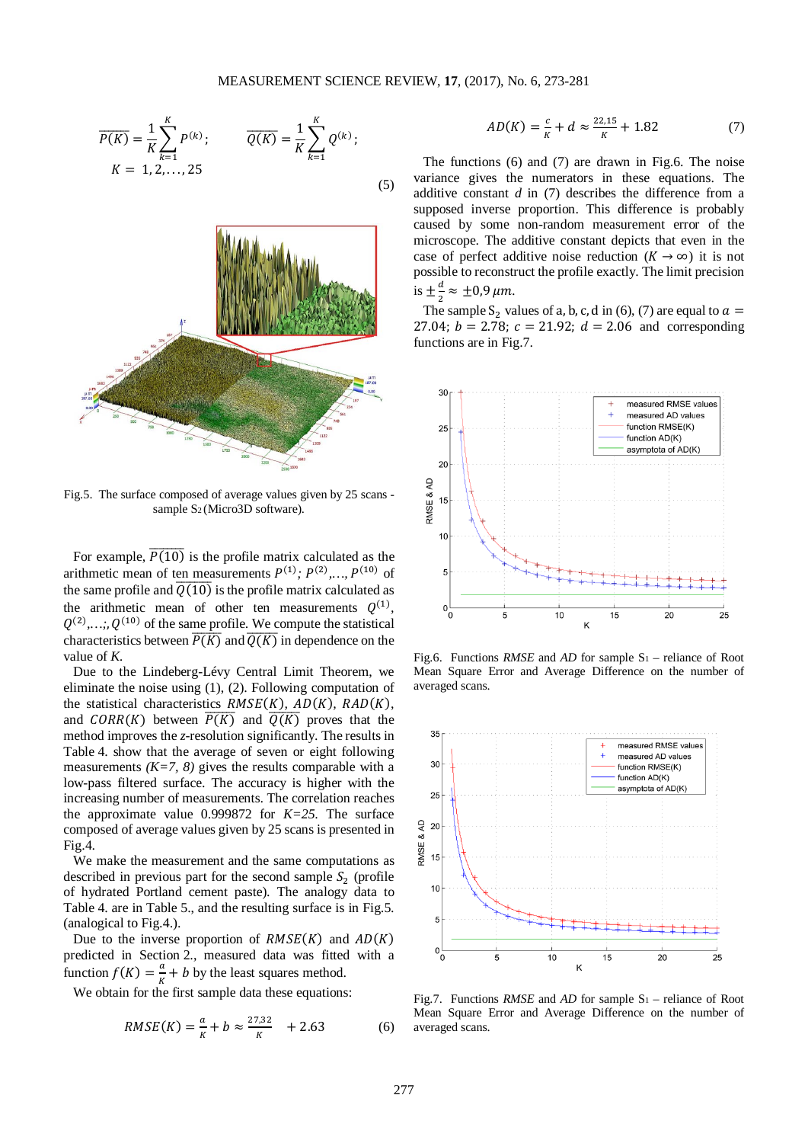



Fig.5. The surface composed of average values given by 25 scans sample S<sub>2</sub> (Micro3D software).

For example,  $\overline{P(10)}$  is the profile matrix calculated as the arithmetic mean of ten measurements  $P^{(1)}$ ;  $P^{(2)}$ ,...,  $P^{(10)}$  of the same profile and  $\overline{Q(10)}$  is the profile matrix calculated as the arithmetic mean of other ten measurements  $Q^{(1)}$ ,  $Q^{(2)},...,Q^{(10)}$  of the same profile. We compute the statistical characteristics between  $\overline{P(K)}$  and  $\overline{Q(K)}$  in dependence on the value of *K.*

Due to the Lindeberg-Lévy Central Limit Theorem, we eliminate the noise using (1), (2). Following computation of the statistical characteristics  $RMSE(K)$ ,  $AD(K)$ ,  $RAD(K)$ , and  $CORR(K)$  between  $\overline{P(K)}$  and  $\overline{Q(K)}$  proves that the method improves the *z*-resolution significantly. The results in Table 4. show that the average of seven or eight following measurements  $(K=7, 8)$  gives the results comparable with a low-pass filtered surface. The accuracy is higher with the increasing number of measurements. The correlation reaches the approximate value 0.999872 for *K=25*. The surface composed of average values given by 25 scans is presented in Fig.4.

We make the measurement and the same computations as described in previous part for the second sample  $S_2$  (profile of hydrated Portland cement paste). The analogy data to Table 4. are in Table 5., and the resulting surface is in Fig.5. (analogical to Fig.4.).

Due to the inverse proportion of  $RMSE(K)$  and  $AD(K)$ predicted in Section 2., measured data was fitted with a function  $f(K) = \frac{a}{K} + b$  by the least squares method.

We obtain for the first sample data these equations:

$$
RMSE(K) = \frac{a}{\kappa} + b \approx \frac{27.32}{\kappa} + 2.63 \tag{6}
$$

$$
AD(K) = \frac{c}{\kappa} + d \approx \frac{22.15}{\kappa} + 1.82\tag{7}
$$

The functions (6) and (7) are drawn in Fig.6. The noise variance gives the numerators in these equations. The additive constant *d* in (7) describes the difference from a supposed inverse proportion. This difference is probably caused by some non-random measurement error of the microscope. The additive constant depicts that even in the case of perfect additive noise reduction ( $K \to \infty$ ) it is not possible to reconstruct the profile exactly. The limit precision is  $\pm \frac{a}{2} \approx \pm 0.9 \ \mu m$ .

The sample  $S_2$  values of a, b, c, d in (6), (7) are equal to  $\alpha =$ 27.04;  $b = 2.78$ ;  $c = 21.92$ ;  $d = 2.06$  and corresponding functions are in Fig.7.



Fig.6. Functions *RMSE* and *AD* for sample  $S_1$  – reliance of Root Mean Square Error and Average Difference on the number of averaged scans.



Fig.7. Functions *RMSE* and *AD* for sample S<sub>1</sub> – reliance of Root Mean Square Error and Average Difference on the number of averaged scans.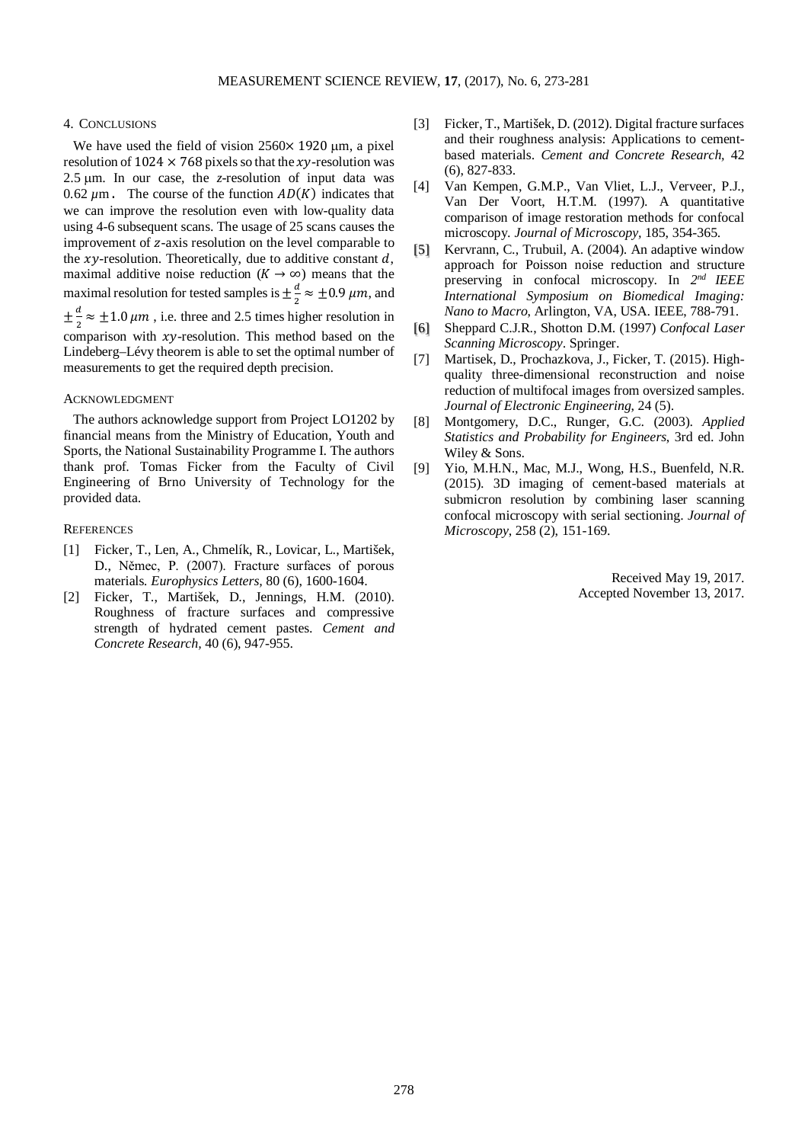#### 4. CONCLUSIONS

We have used the field of vision  $2560 \times 1920 \mu m$ , a pixel resolution of  $1024 \times 768$  pixels so that the *xy*-resolution was 2.5 µm. In our case, the *z-*resolution of input data was  $0.62 \mu m$ . The course of the function  $AD(K)$  indicates that we can improve the resolution even with low-quality data using 4-6 subsequent scans. The usage of 25 scans causes the improvement of z-axis resolution on the level comparable to the  $xy$ -resolution. Theoretically, due to additive constant  $d$ , maximal additive noise reduction ( $K \to \infty$ ) means that the maximal resolution for tested samples is  $\pm \frac{a}{2} \approx \pm 0.9 \ \mu m$ , and  $\pm \frac{a}{2} \approx \pm 1.0 \ \mu m$ , i.e. three and 2.5 times higher resolution in comparison with  $xy$ -resolution. This method based on the Lindeberg–Lévy theorem is able to set the optimal number of measurements to get the required depth precision.

#### ACKNOWLEDGMENT

The authors acknowledge support from Project LO1202 by financial means from the Ministry of Education, Youth and Sports, the National Sustainability Programme I. The authors thank prof. Tomas Ficker from the Faculty of Civil Engineering of Brno University of Technology for the provided data.

#### **REFERENCES**

- [1] Ficker, T., Len, A., Chmelík, R., Lovicar, L., Martišek, D., Němec, P. (2007). Fracture surfaces of porous materials*. Europhysics Letters,* 80 (6), 1600-1604.
- [2] Ficker, T., Martišek, D., Jennings, H.M. (2010). Roughness of fracture surfaces and compressive strength of hydrated cement pastes. *Cement and Concrete Research,* 40 (6), 947-955.
- [3] Ficker, T., Martišek, D. (2012). Digital fracture surfaces and their roughness analysis: Applications to cementbased materials. *Cement and Concrete Research,* 42 (6), 827-833.
- [4] Van Kempen, G.M.P., Van Vliet, L.J., Verveer, P.J., Van Der Voort, H.T.M. (1997). A quantitative comparison of image restoration methods for confocal microscopy. *Journal of Microscopy,* 185, 354-365.
- [5] Kervrann, C., Trubuil, A. (2004). An adaptive window approach for Poisson noise reduction and structure preserving in confocal microscopy. In *2nd IEEE International Symposium on Biomedical Imaging: Nano to Macro*, Arlington, VA, USA. IEEE, 788-791.
- [6] Sheppard C.J.R., Shotton D.M. (1997) *Confocal Laser Scanning Microscopy*. Springer.
- [7] Martisek, D., Prochazkova, J., Ficker, T. (2015). Highquality three-dimensional reconstruction and noise reduction of multifocal images from oversized samples. *Journal of Electronic Engineering*, 24 (5).
- [8] Montgomery, D.C., Runger, G.C. (2003). *Applied Statistics and Probability for Engineers*, 3rd ed. John Wiley & Sons.
- [9] Yio, M.H.N., Mac, M.J., Wong, H.S., Buenfeld, N.R. (2015). 3D imaging of cement-based materials at submicron resolution by combining laser scanning confocal microscopy with serial sectioning. *Journal of Microscopy*, 258 (2), 151-169.

Received May 19, 2017. Accepted November 13, 2017.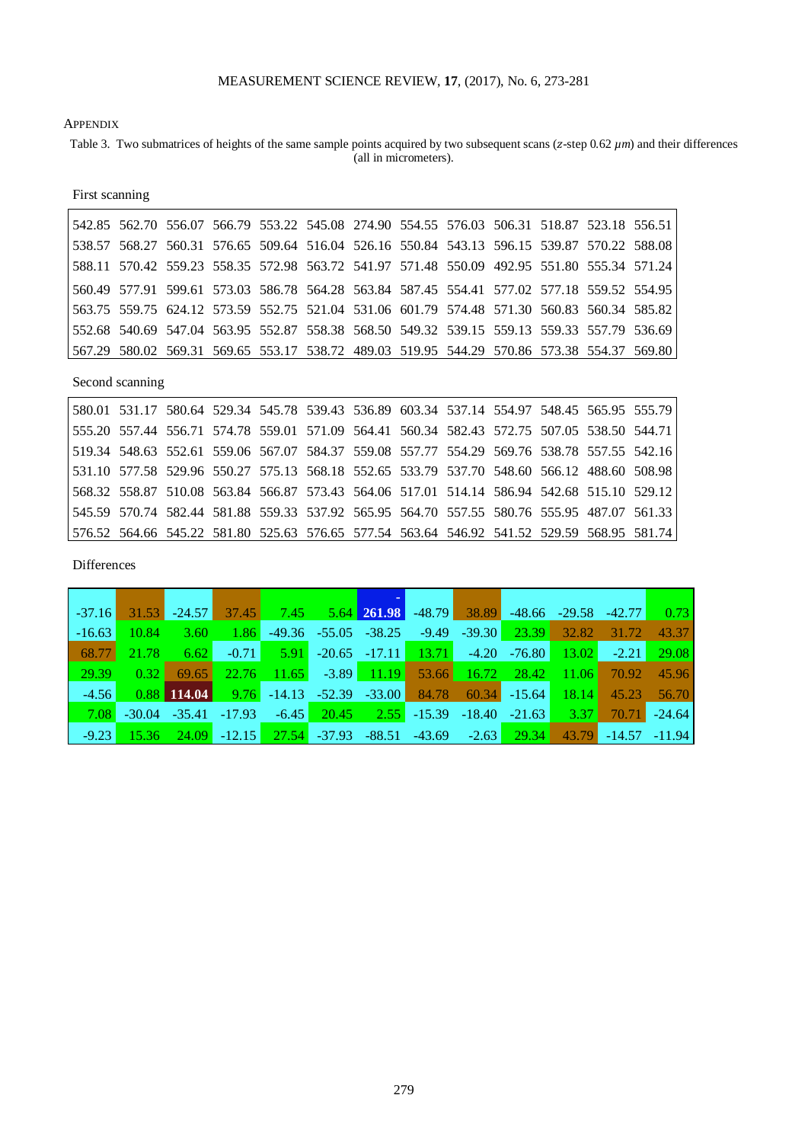# MEASUREMENT SCIENCE REVIEW, **17**, (2017), No. 6, 273-281

### APPENDIX

Table 3. Two submatrices of heights of the same sample points acquired by two subsequent scans ( $z$ -step  $0.62 \mu m$ ) and their differences (all in micrometers).

| First scanning |
|----------------|
|                |
|                |

|  |  | 542.85 562.70 556.07 566.79 553.22 545.08 274.90 554.55 576.03 506.31 518.87 523.18 556.51 |  |  |  |  |
|--|--|--------------------------------------------------------------------------------------------|--|--|--|--|
|  |  | 538.57 568.27 560.31 576.65 509.64 516.04 526.16 550.84 543.13 596.15 539.87 570.22 588.08 |  |  |  |  |
|  |  | 588.11 570.42 559.23 558.35 572.98 563.72 541.97 571.48 550.09 492.95 551.80 555.34 571.24 |  |  |  |  |
|  |  | 560.49 577.91 599.61 573.03 586.78 564.28 563.84 587.45 554.41 577.02 577.18 559.52 554.95 |  |  |  |  |
|  |  | 563.75 559.75 624.12 573.59 552.75 521.04 531.06 601.79 574.48 571.30 560.83 560.34 585.82 |  |  |  |  |
|  |  | 552.68 540.69 547.04 563.95 552.87 558.38 568.50 549.32 539.15 559.13 559.33 557.79 536.69 |  |  |  |  |
|  |  | 567.29 580.02 569.31 569.65 553.17 538.72 489.03 519.95 544.29 570.86 573.38 554.37 569.80 |  |  |  |  |
|  |  |                                                                                            |  |  |  |  |

# Second scanning

| 580.01 531.17 580.64 529.34 545.78 539.43 536.89 603.34 537.14 554.97 548.45 565.95 555.79 |  |  |  |  |  |  |
|--------------------------------------------------------------------------------------------|--|--|--|--|--|--|
| 555.20 557.44 556.71 574.78 559.01 571.09 564.41 560.34 582.43 572.75 507.05 538.50 544.71 |  |  |  |  |  |  |
| 519.34 548.63 552.61 559.06 567.07 584.37 559.08 557.77 554.29 569.76 538.78 557.55 542.16 |  |  |  |  |  |  |
| 531.10 577.58 529.96 550.27 575.13 568.18 552.65 533.79 537.70 548.60 566.12 488.60 508.98 |  |  |  |  |  |  |
| 568.32 558.87 510.08 563.84 566.87 573.43 564.06 517.01 514.14 586.94 542.68 515.10 529.12 |  |  |  |  |  |  |
| 545.59 570.74 582.44 581.88 559.33 537.92 565.95 564.70 557.55 580.76 555.95 487.07 561.33 |  |  |  |  |  |  |
| 576.52 564.66 545.22 581.80 525.63 576.65 577.54 563.64 546.92 541.52 529.59 568.95 581.74 |  |  |  |  |  |  |

Differences

|  |  |  |  |  | $-37.16$ $31.53$ $-24.57$ $37.45$ $7.45$ $5.64$ $261.98$ $-48.79$ $38.89$ $-48.66$ $-29.58$ $-42.77$ $0.73$ |  |
|--|--|--|--|--|-------------------------------------------------------------------------------------------------------------|--|
|  |  |  |  |  | $-16.63$ $10.84$ $3.60$ $1.86$ $-49.36$ $-55.05$ $-38.25$ $-9.49$ $-39.30$ $23.39$ $32.82$ $31.72$ $43.37$  |  |
|  |  |  |  |  | 68.77 21.78 6.62 -0.71 5.91 -20.65 -17.11 13.71 -4.20 -76.80 13.02 -2.21 29.08                              |  |
|  |  |  |  |  | 29.39 0.32 69.65 22.76 11.65 -3.89 11.19 53.66 16.72 28.42 11.06 70.92 45.96                                |  |
|  |  |  |  |  | $-4.56$ $0.88$ 114.04 9.76 -14.13 -52.39 -33.00 84.78 60.34 -15.64 18.14 45.23 56.70                        |  |
|  |  |  |  |  | 7.08 -30.04 -35.41 -17.93 -6.45 20.45 2.55 -15.39 -18.40 -21.63 3.37 70.71 -24.64                           |  |
|  |  |  |  |  | -9.23 15.36 24.09 -12.15 27.54 -37.93 -88.51 -43.69 -2.63 29.34 43.79 -14.57 -11.94                         |  |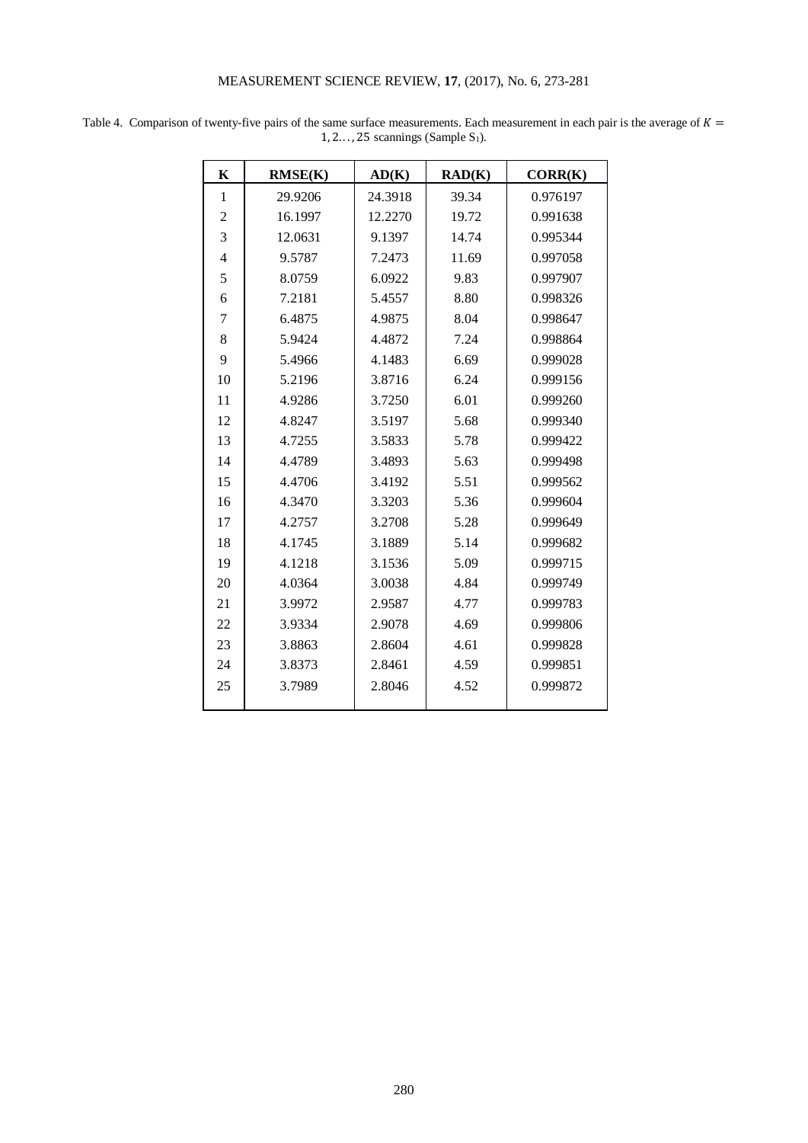# MEASUREMENT SCIENCE REVIEW, **17**, (2017), No. 6, 273-281

| K              | RMSE(K) | AD(K)   | RAD(K) | CORR(K)  |
|----------------|---------|---------|--------|----------|
| $\mathbf{1}$   | 29.9206 | 24.3918 | 39.34  | 0.976197 |
| $\overline{c}$ | 16.1997 | 12.2270 | 19.72  | 0.991638 |
| 3              | 12.0631 | 9.1397  | 14.74  | 0.995344 |
| $\overline{4}$ | 9.5787  | 7.2473  | 11.69  | 0.997058 |
| 5              | 8.0759  | 6.0922  | 9.83   | 0.997907 |
| 6              | 7.2181  | 5.4557  | 8.80   | 0.998326 |
| 7              | 6.4875  | 4.9875  | 8.04   | 0.998647 |
| 8              | 5.9424  | 4.4872  | 7.24   | 0.998864 |
| 9              | 5.4966  | 4.1483  | 6.69   | 0.999028 |
| 10             | 5.2196  | 3.8716  | 6.24   | 0.999156 |
| 11             | 4.9286  | 3.7250  | 6.01   | 0.999260 |
| 12             | 4.8247  | 3.5197  | 5.68   | 0.999340 |
| 13             | 4.7255  | 3.5833  | 5.78   | 0.999422 |
| 14             | 4.4789  | 3.4893  | 5.63   | 0.999498 |
| 15             | 4.4706  | 3.4192  | 5.51   | 0.999562 |
| 16             | 4.3470  | 3.3203  | 5.36   | 0.999604 |
| 17             | 4.2757  | 3.2708  | 5.28   | 0.999649 |
| 18             | 4.1745  | 3.1889  | 5.14   | 0.999682 |
| 19             | 4.1218  | 3.1536  | 5.09   | 0.999715 |
| 20             | 4.0364  | 3.0038  | 4.84   | 0.999749 |
| 21             | 3.9972  | 2.9587  | 4.77   | 0.999783 |
| 22             | 3.9334  | 2.9078  | 4.69   | 0.999806 |
| 23             | 3.8863  | 2.8604  | 4.61   | 0.999828 |
| 24             | 3.8373  | 2.8461  | 4.59   | 0.999851 |
| 25             | 3.7989  | 2.8046  | 4.52   | 0.999872 |

Table 4. Comparison of twenty-five pairs of the same surface measurements. Each measurement in each pair is the average of  $K =$  $1, 2...$ , 25 scannings (Sample S<sub>1</sub>).